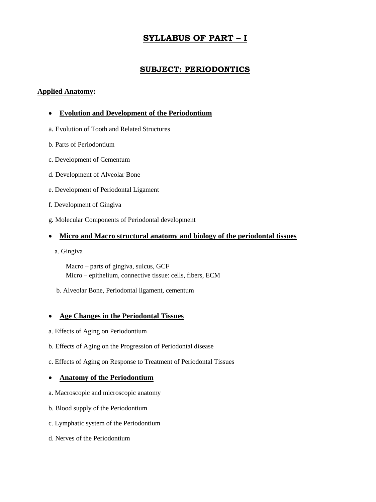# **SYLLABUS OF PART – I**

# **SUBJECT: PERIODONTICS**

### **Applied Anatomy:**

### **Evolution and Development of the Periodontium**

- a. Evolution of Tooth and Related Structures
- b. Parts of Periodontium
- c. Development of Cementum
- d. Development of Alveolar Bone
- e. Development of Periodontal Ligament
- f. Development of Gingiva
- g. Molecular Components of Periodontal development

### **Micro and Macro structural anatomy and biology of the periodontal tissues**

a. Gingiva

 Macro – parts of gingiva, sulcus, GCF Micro – epithelium, connective tissue: cells, fibers, ECM

b. Alveolar Bone, Periodontal ligament, cementum

### **Age Changes in the Periodontal Tissues**

- a. Effects of Aging on Periodontium
- b. Effects of Aging on the Progression of Periodontal disease
- c. Effects of Aging on Response to Treatment of Periodontal Tissues

### **Anatomy of the Periodontium**

- a. Macroscopic and microscopic anatomy
- b. Blood supply of the Periodontium
- c. Lymphatic system of the Periodontium
- d. Nerves of the Periodontium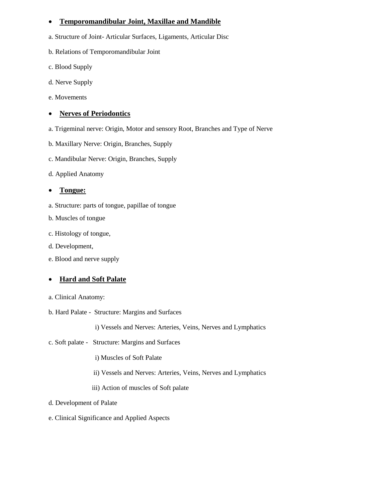### **Temporomandibular Joint, Maxillae and Mandible**

- a. Structure of Joint- Articular Surfaces, Ligaments, Articular Disc
- b. Relations of Temporomandibular Joint
- c. Blood Supply
- d. Nerve Supply
- e. Movements

### **Nerves of Periodontics**

- a. Trigeminal nerve: Origin, Motor and sensory Root, Branches and Type of Nerve
- b. Maxillary Nerve: Origin, Branches, Supply
- c. Mandibular Nerve: Origin, Branches, Supply
- d. Applied Anatomy

### **Tongue:**

- a. Structure: parts of tongue, papillae of tongue
- b. Muscles of tongue
- c. Histology of tongue,
- d. Development,
- e. Blood and nerve supply

### **Hard and Soft Palate**

- a. Clinical Anatomy:
- b. Hard Palate Structure: Margins and Surfaces

i) Vessels and Nerves: Arteries, Veins, Nerves and Lymphatics

c. Soft palate - Structure: Margins and Surfaces

i) Muscles of Soft Palate

- ii) Vessels and Nerves: Arteries, Veins, Nerves and Lymphatics
- iii) Action of muscles of Soft palate
- d. Development of Palate
- e. Clinical Significance and Applied Aspects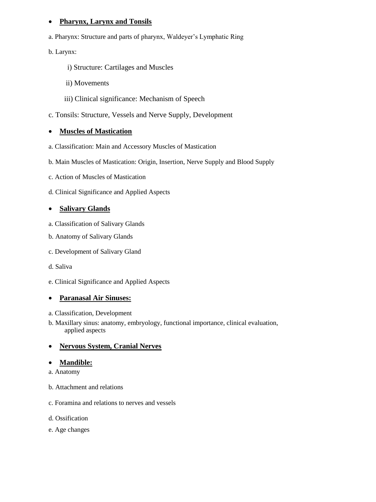### **Pharynx, Larynx and Tonsils**

a. Pharynx: Structure and parts of pharynx, Waldeyer's Lymphatic Ring

b. Larynx:

- i) Structure: Cartilages and Muscles
- ii) Movements
- iii) Clinical significance: Mechanism of Speech
- c. Tonsils: Structure, Vessels and Nerve Supply, Development

### **Muscles of Mastication**

- a. Classification: Main and Accessory Muscles of Mastication
- b. Main Muscles of Mastication: Origin, Insertion, Nerve Supply and Blood Supply
- c. Action of Muscles of Mastication
- d. Clinical Significance and Applied Aspects

### **Salivary Glands**

- a. Classification of Salivary Glands
- b. Anatomy of Salivary Glands
- c. Development of Salivary Gland
- d. Saliva
- e. Clinical Significance and Applied Aspects

### **Paranasal Air Sinuses:**

- a. Classification, Development
- b. Maxillary sinus: anatomy, embryology, functional importance, clinical evaluation, applied aspects

### **Nervous System, Cranial Nerves**

### **Mandible:**

- a. Anatomy
- b. Attachment and relations
- c. Foramina and relations to nerves and vessels
- d. Ossification
- e. Age changes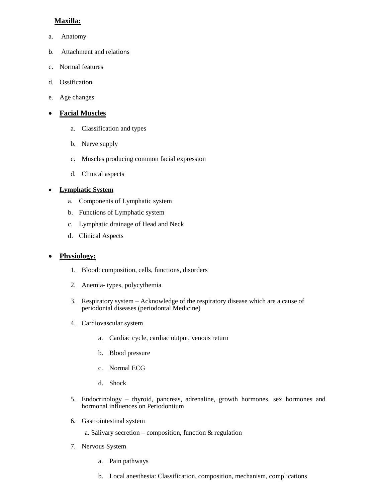## **Maxilla:**

- a. Anatomy
- b. Attachment and relations
- c. Normal features
- d. Ossification
- e. Age changes

### **Facial Muscles**

- a. Classification and types
- b. Nerve supply
- c. Muscles producing common facial expression
- d. Clinical aspects

### **Lymphatic System**

- a. Components of Lymphatic system
- b. Functions of Lymphatic system
- c. Lymphatic drainage of Head and Neck
- d. Clinical Aspects

### **Physiology:**

- 1. Blood: composition, cells, functions, disorders
- 2. Anemia- types, polycythemia
- 3. Respiratory system Acknowledge of the respiratory disease which are a cause of periodontal diseases (periodontal Medicine)
- 4. Cardiovascular system
	- a. Cardiac cycle, cardiac output, venous return
	- b. Blood pressure
	- c. Normal ECG
	- d. Shock
- 5. Endocrinology thyroid, pancreas, adrenaline, growth hormones, sex hormones and hormonal influences on Periodontium
- 6. Gastrointestinal system

a. Salivary secretion – composition, function & regulation

- 7. Nervous System
	- a. Pain pathways
	- b. Local anesthesia: Classification, composition, mechanism, complications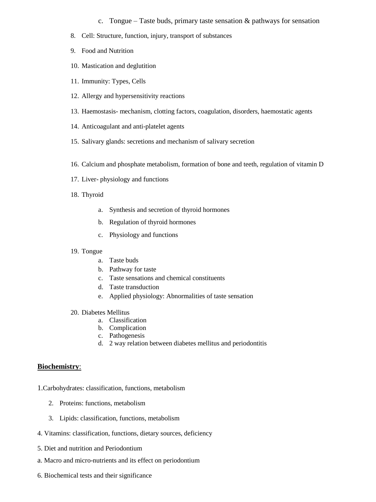c. Tongue – Taste buds, primary taste sensation  $\&$  pathways for sensation

- 8. Cell: Structure, function, injury, transport of substances
- 9. Food and Nutrition
- 10. Mastication and deglutition
- 11. Immunity: Types, Cells
- 12. Allergy and hypersensitivity reactions
- 13. Haemostasis- mechanism, clotting factors, coagulation, disorders, haemostatic agents
- 14. Anticoagulant and anti-platelet agents
- 15. Salivary glands: secretions and mechanism of salivary secretion
- 16. Calcium and phosphate metabolism, formation of bone and teeth, regulation of vitamin D
- 17. Liver- physiology and functions
- 18. Thyroid
	- a. Synthesis and secretion of thyroid hormones
	- b. Regulation of thyroid hormones
	- c. Physiology and functions
- 19. Tongue
	- a. Taste buds
	- b. Pathway for taste
	- c. Taste sensations and chemical constituents
	- d. Taste transduction
	- e. Applied physiology: Abnormalities of taste sensation
- 20. Diabetes Mellitus
	- a. Classification
	- b. Complication
	- c. Pathogenesis
	- d. 2 way relation between diabetes mellitus and periodontitis

#### **Biochemistry**:

1.Carbohydrates: classification, functions, metabolism

- 2. Proteins: functions, metabolism
- 3. Lipids: classification, functions, metabolism
- 4. Vitamins: classification, functions, dietary sources, deficiency
- 5. Diet and nutrition and Periodontium
- a. Macro and micro-nutrients and its effect on periodontium
- 6. Biochemical tests and their significance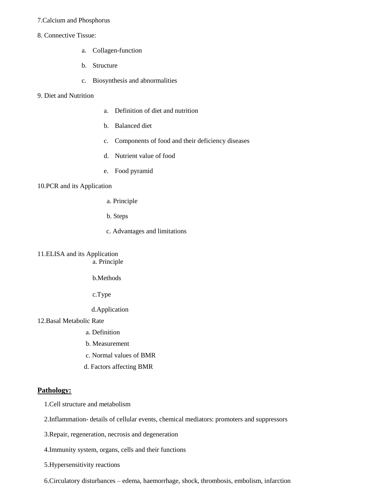#### 7.Calcium and Phosphorus

#### 8. Connective Tissue:

- a. Collagen-function
- b. Structure
- c. Biosynthesis and abnormalities

#### 9. Diet and Nutrition

- a. Definition of diet and nutrition
- b. Balanced diet
- c. Components of food and their deficiency diseases
- d. Nutrient value of food
- e. Food pyramid

#### 10.PCR and its Application

- a. Principle
- b. Steps
- c. Advantages and limitations

### 11.ELISA and its Application

a. Principle

b.Methods

c.Type

d.Application

#### 12.Basal Metabolic Rate

- a. Definition
- b. Measurement
- c. Normal values of BMR
- d. Factors affecting BMR

#### **Pathology:**

1.Cell structure and metabolism

2.Inflammation- details of cellular events, chemical mediators: promoters and suppressors

3.Repair, regeneration, necrosis and degeneration

4.Immunity system, organs, cells and their functions

5.Hypersensitivity reactions

6.Circulatory disturbances – edema, haemorrhage, shock, thrombosis, embolism, infarction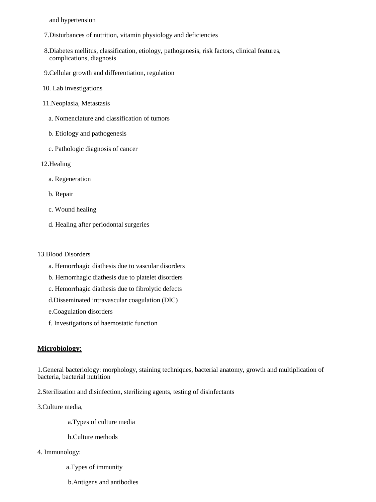and hypertension

- 7.Disturbances of nutrition, vitamin physiology and deficiencies
- 8.Diabetes mellitus, classification, etiology, pathogenesis, risk factors, clinical features, complications, diagnosis
- 9.Cellular growth and differentiation, regulation
- 10. Lab investigations
- 11.Neoplasia, Metastasis
	- a. Nomenclature and classification of tumors
	- b. Etiology and pathogenesis
	- c. Pathologic diagnosis of cancer
- 12.Healing
	- a. Regeneration
	- b. Repair
	- c. Wound healing
	- d. Healing after periodontal surgeries

#### 13.Blood Disorders

- a. Hemorrhagic diathesis due to vascular disorders
- b. Hemorrhagic diathesis due to platelet disorders
- c. Hemorrhagic diathesis due to fibrolytic defects
- d.Disseminated intravascular coagulation (DIC)
- e.Coagulation disorders
- f. Investigations of haemostatic function

#### **Microbiology**:

1.General bacteriology: morphology, staining techniques, bacterial anatomy, growth and multiplication of bacteria, bacterial nutrition

2.Sterilization and disinfection, sterilizing agents, testing of disinfectants

3.Culture media,

- a.Types of culture media
- b.Culture methods
- 4. Immunology:
	- a.Types of immunity
	- b.Antigens and antibodies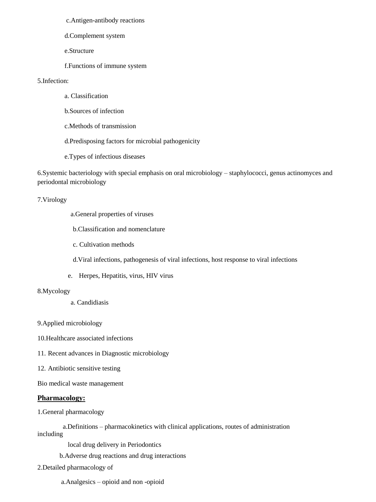c.Antigen-antibody reactions

d.Complement system

e.Structure

f.Functions of immune system

### 5.Infection:

a. Classification

b.Sources of infection

c.Methods of transmission

d.Predisposing factors for microbial pathogenicity

e.Types of infectious diseases

6.Systemic bacteriology with special emphasis on oral microbiology – staphylococci, genus actinomyces and periodontal microbiology

#### 7.Virology

a.General properties of viruses

b.Classification and nomenclature

c. Cultivation methods

d.Viral infections, pathogenesis of viral infections, host response to viral infections

e. Herpes, Hepatitis, virus, HIV virus

#### 8.Mycology

a. Candidiasis

9.Applied microbiology

10.Healthcare associated infections

11. Recent advances in Diagnostic microbiology

12. Antibiotic sensitive testing

Bio medical waste management

#### **Pharmacology:**

1.General pharmacology

 a.Definitions – pharmacokinetics with clinical applications, routes of administration including

local drug delivery in Periodontics

b.Adverse drug reactions and drug interactions

2.Detailed pharmacology of

a.Analgesics – opioid and non -opioid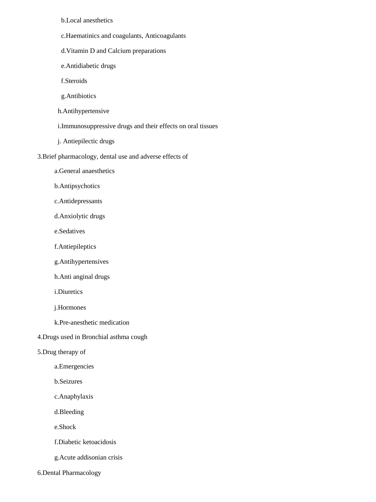b.Local anesthetics

- c.Haematinics and coagulants, Anticoagulants
- d.Vitamin D and Calcium preparations
- e.Antidiabetic drugs
- f.Steroids
- g.Antibiotics
- h.Antihypertensive
- i.Immunosuppressive drugs and their effects on oral tissues
- j. Antiepilectic drugs
- 3.Brief pharmacology, dental use and adverse effects of
	- a.General anaesthetics
	- b.Antipsychotics
	- c.Antidepressants
	- d.Anxiolytic drugs
	- e.Sedatives
	- f.Antiepileptics
	- g.Antihypertensives
	- h.Anti anginal drugs
	- i.Diuretics
	- j.Hormones
	- k.Pre-anesthetic medication
- 4.Drugs used in Bronchial asthma cough
- 5.Drug therapy of
	- a.Emergencies
	- b.Seizures
	- c.Anaphylaxis
	- d.Bleeding
	- e.Shock
	- f.Diabetic ketoacidosis
	- g.Acute addisonian crisis
- 6.Dental Pharmacology